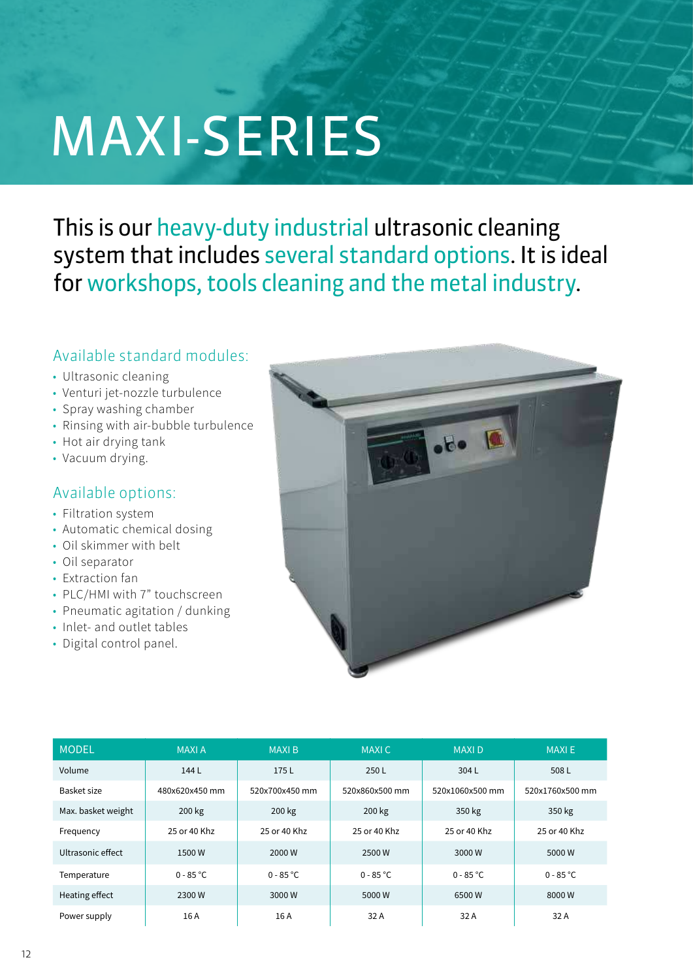# MAXI-SERIES

This is our heavy-duty industrial ultrasonic cleaning system that includes several standard options. It is ideal for workshops, tools cleaning and the metal industry.

# Available standard modules:

- Ultrasonic cleaning
- Venturi jet-nozzle turbulence
- Spray washing chamber
- Rinsing with air-bubble turbulence
- Hot air drying tank
- Vacuum drying.

## Available options:

- Filtration system
- Automatic chemical dosing
- Oil skimmer with belt
- Oil separator
- Extraction fan
- PLC/HMI with 7" touchscreen
- Pneumatic agitation / dunking
- Inlet- and outlet tables
- Digital control panel.



| <b>MODEL</b>       | <b>MAXIA</b>   | <b>MAXIB</b>   | <b>MAXIC</b>   | <b>MAXID</b>    | <b>MAXIE</b>    |
|--------------------|----------------|----------------|----------------|-----------------|-----------------|
| Volume             | 144 L          | 175L           | 250L           | 304L            | 508L            |
| Basket size        | 480x620x450 mm | 520x700x450 mm | 520x860x500 mm | 520x1060x500 mm | 520x1760x500 mm |
| Max. basket weight | 200 kg         | 200 kg         | 200 kg         | 350 kg          | 350 kg          |
| Frequency          | 25 or 40 Khz   | 25 or 40 Khz   | 25 or 40 Khz   | 25 or 40 Khz    | 25 or 40 Khz    |
| Ultrasonic effect  | 1500W          | 2000 W         | 2500 W         | 3000 W          | 5000 W          |
| Temperature        | $0 - 85 °C$    | $0 - 85 °C$    | $0 - 85 °C$    | $0 - 85 °C$     | $0 - 85 °C$     |
| Heating effect     | 2300W          | 3000W          | 5000 W         | 6500W           | 8000W           |
| Power supply       | 16 A           | 16 A           | 32 A           | 32 A            | 32 A            |